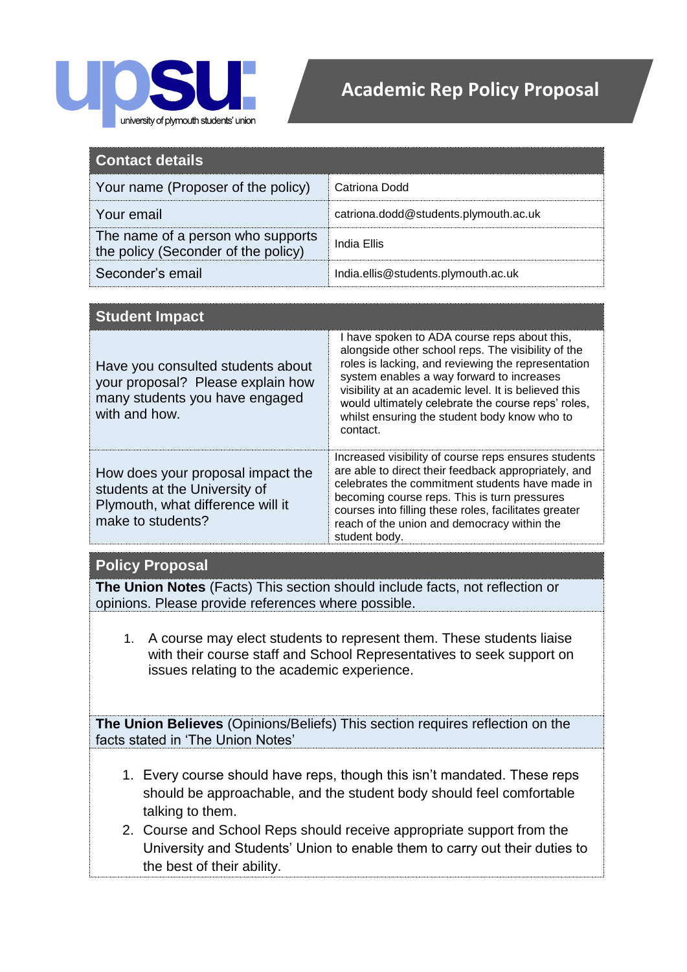

## **Academic Rep Policy Proposal**

| Contact details                                                          |                                       |
|--------------------------------------------------------------------------|---------------------------------------|
| Your name (Proposer of the policy)                                       | Catriona Dodd                         |
| Your email                                                               | catriona.dodd@students.plymouth.ac.uk |
| The name of a person who supports<br>the policy (Seconder of the policy) | India Ellis                           |
| Seconder's email                                                         | India.ellis@students.plymouth.ac.uk   |

| <b>Student Impact</b>                                                                                                        |                                                                                                                                                                                                                                                                                                                                                                                 |
|------------------------------------------------------------------------------------------------------------------------------|---------------------------------------------------------------------------------------------------------------------------------------------------------------------------------------------------------------------------------------------------------------------------------------------------------------------------------------------------------------------------------|
| Have you consulted students about<br>your proposal? Please explain how<br>many students you have engaged<br>with and how.    | I have spoken to ADA course reps about this,<br>alongside other school reps. The visibility of the<br>roles is lacking, and reviewing the representation<br>system enables a way forward to increases<br>visibility at an academic level. It is believed this<br>would ultimately celebrate the course reps' roles,<br>whilst ensuring the student body know who to<br>contact. |
| How does your proposal impact the<br>students at the University of<br>Plymouth, what difference will it<br>make to students? | Increased visibility of course reps ensures students<br>are able to direct their feedback appropriately, and<br>celebrates the commitment students have made in<br>becoming course reps. This is turn pressures<br>courses into filling these roles, facilitates greater<br>reach of the union and democracy within the<br>student body.                                        |

## **Policy Proposal**

**The Union Notes** (Facts) This section should include facts, not reflection or opinions. Please provide references where possible.

1. A course may elect students to represent them. These students liaise with their course staff and School Representatives to seek support on issues relating to the academic experience.

**The Union Believes** (Opinions/Beliefs) This section requires reflection on the facts stated in 'The Union Notes'

- 1. Every course should have reps, though this isn't mandated. These reps should be approachable, and the student body should feel comfortable talking to them.
- 2. Course and School Reps should receive appropriate support from the University and Students' Union to enable them to carry out their duties to the best of their ability.